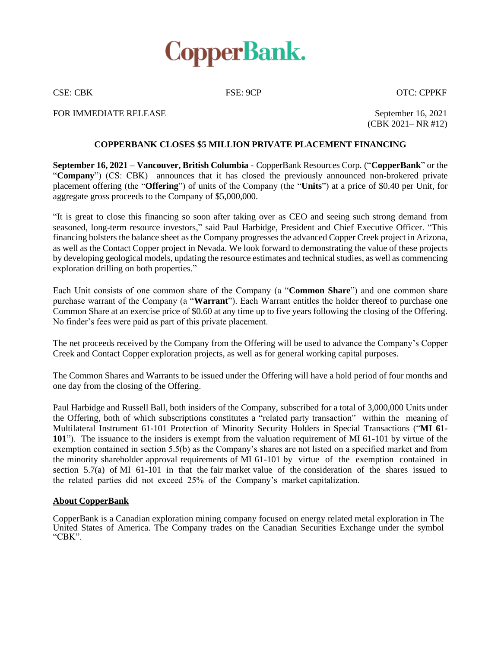

CSE: CBK FSE: 9CP OTC: CPPKF

FOR IMMEDIATE RELEASE September 16, 2021

(CBK 2021– NR #12)

## **COPPERBANK CLOSES \$5 MILLION PRIVATE PLACEMENT FINANCING**

**September 16, 2021 – Vancouver, British Columbia** - CopperBank Resources Corp. ("**CopperBank**" or the "**Company**") (CS: CBK) announces that it has closed the previously announced non-brokered private placement offering (the "**Offering**") of units of the Company (the "**Units**") at a price of \$0.40 per Unit, for aggregate gross proceeds to the Company of \$5,000,000.

"It is great to close this financing so soon after taking over as CEO and seeing such strong demand from seasoned, long-term resource investors," said Paul Harbidge, President and Chief Executive Officer. "This financing bolsters the balance sheet as the Company progresses the advanced Copper Creek project in Arizona, as well as the Contact Copper project in Nevada. We look forward to demonstrating the value of these projects by developing geological models, updating the resource estimates and technical studies, as well as commencing exploration drilling on both properties."

Each Unit consists of one common share of the Company (a "**Common Share**") and one common share purchase warrant of the Company (a "**Warrant**"). Each Warrant entitles the holder thereof to purchase one Common Share at an exercise price of \$0.60 at any time up to five years following the closing of the Offering. No finder's fees were paid as part of this private placement.

The net proceeds received by the Company from the Offering will be used to advance the Company's Copper Creek and Contact Copper exploration projects, as well as for general working capital purposes.

The Common Shares and Warrants to be issued under the Offering will have a hold period of four months and one day from the closing of the Offering.

Paul Harbidge and Russell Ball, both insiders of the Company, subscribed for a total of 3,000,000 Units under the Offering, both of which subscriptions constitutes a "related party transaction" within the meaning of Multilateral Instrument 61-101 Protection of Minority Security Holders in Special Transactions ("**MI 61- 101**"). The issuance to the insiders is exempt from the valuation requirement of MI 61-101 by virtue of the exemption contained in section 5.5(b) as the Company's shares are not listed on a specified market and from the minority shareholder approval requirements of MI 61-101 by virtue of the exemption contained in section 5.7(a) of MI 61-101 in that the fair market value of the consideration of the shares issued to the related parties did not exceed 25% of the Company's market capitalization.

## **About CopperBank**

CopperBank is a Canadian exploration mining company focused on energy related metal exploration in The United States of America. The Company trades on the Canadian Securities Exchange under the symbol "CBK".